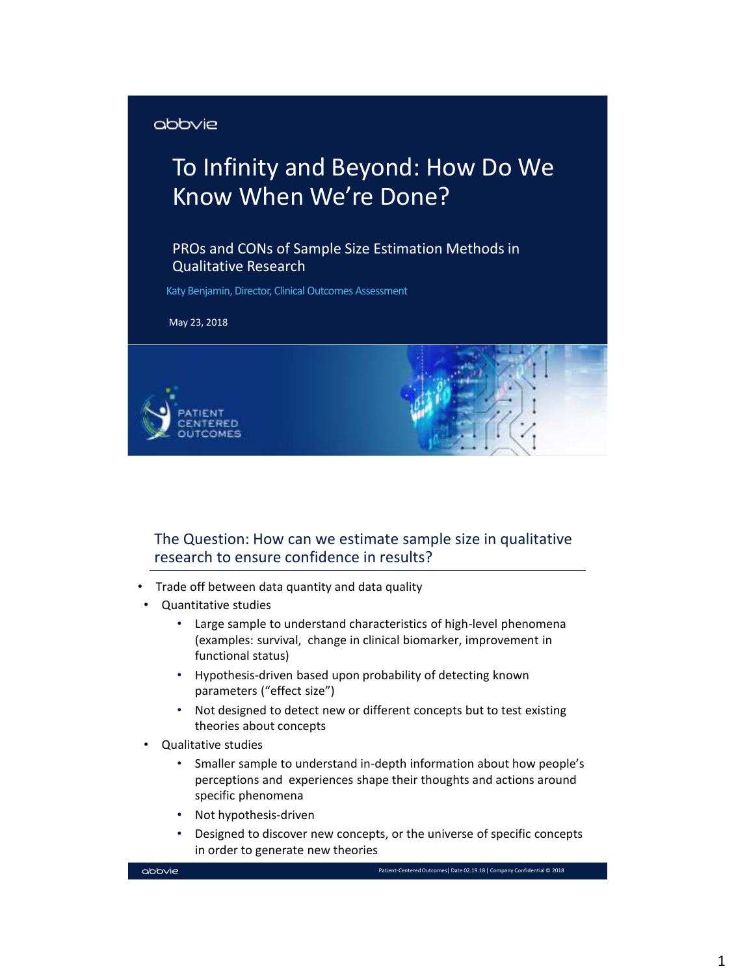#### abbvie

# To Infinity and Beyond: How Do We Know When We're Done?

PROs and CONs of Sample Size Estimation Methods in Qualitative Research

Katy Benjamin, Director, Clinical Outcomes Assessment

May 23, 2018





#### The Question: How can we estimate sample size in qualitative research to ensure confidence in results?

- Trade off between data quantity and data quality
- Quantitative studies
	- Large sample to understand characteristics of high-level phenomena (examples: survival, change in clinical biomarker, improvement in functional status)
	- Hypothesis-driven based upon probability of detecting known parameters ("effect size")
	- Not designed to detect new or different concepts but to test existing theories about concepts
- Qualitative studies
	- Smaller sample to understand in-depth information about how people's perceptions and experiences shape their thoughts and actions around specific phenomena
	- Not hypothesis-driven
	- Designed to discover new concepts, or the universe of specific concepts in order to generate new theories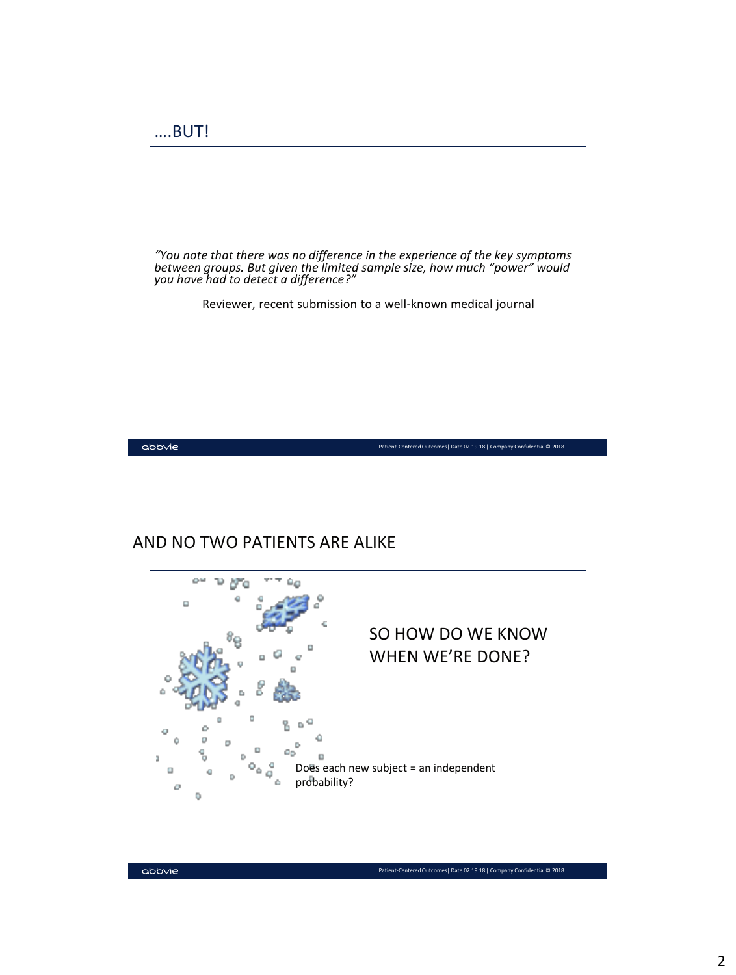*"You note that there was no difference in the experience of the key symptoms between groups. But given the limited sample size, how much "power" would you have had to detect a difference?"*

Reviewer, recent submission to a well-known medical journal

 $\Delta$ bb $\vee$ ie

Patient-Centered Outcomes| Date 02.19.18 | Company Confidential © 2018

#### AND NO TWO PATIENTS ARE ALIKE

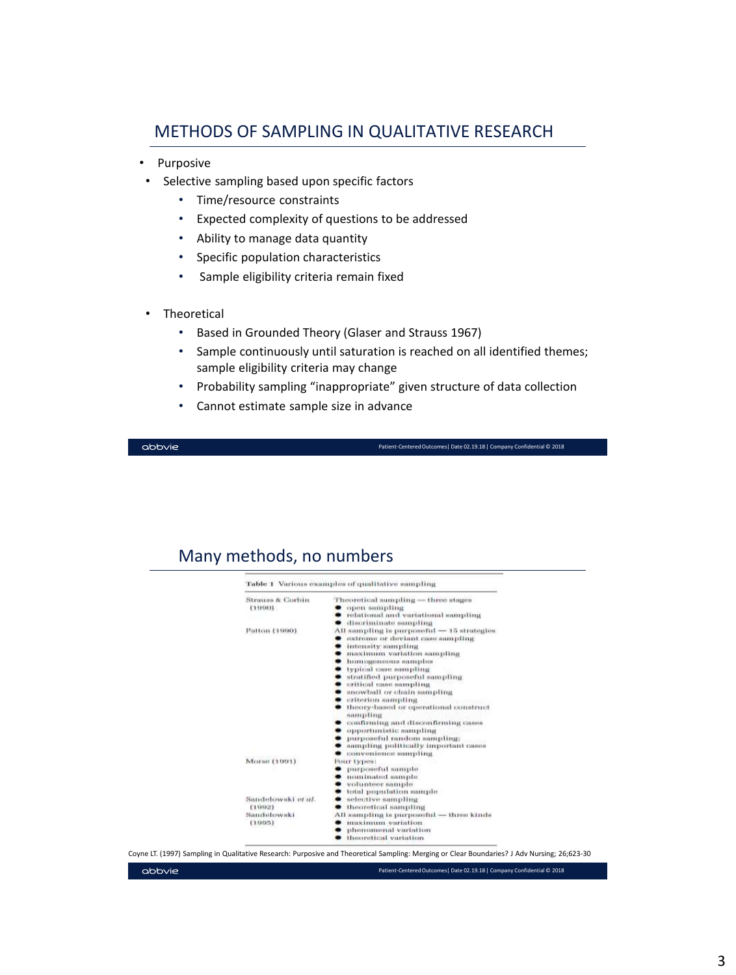#### METHODS OF SAMPLING IN QUALITATIVE RESEARCH

- Purposive
	- Selective sampling based upon specific factors
		- Time/resource constraints
		- Expected complexity of questions to be addressed
		- Ability to manage data quantity
		- Specific population characteristics
		- Sample eligibility criteria remain fixed
- **Theoretical** 
	- Based in Grounded Theory (Glaser and Strauss 1967)
	- Sample continuously until saturation is reached on all identified themes; sample eligibility criteria may change
	- Probability sampling "inappropriate" given structure of data collection
	- Cannot estimate sample size in advance

abbvie

abbvie

Patient-Centered Outcomes| Date 02.19.18 | Company Confidential © 2018

#### Many methods, no numbers

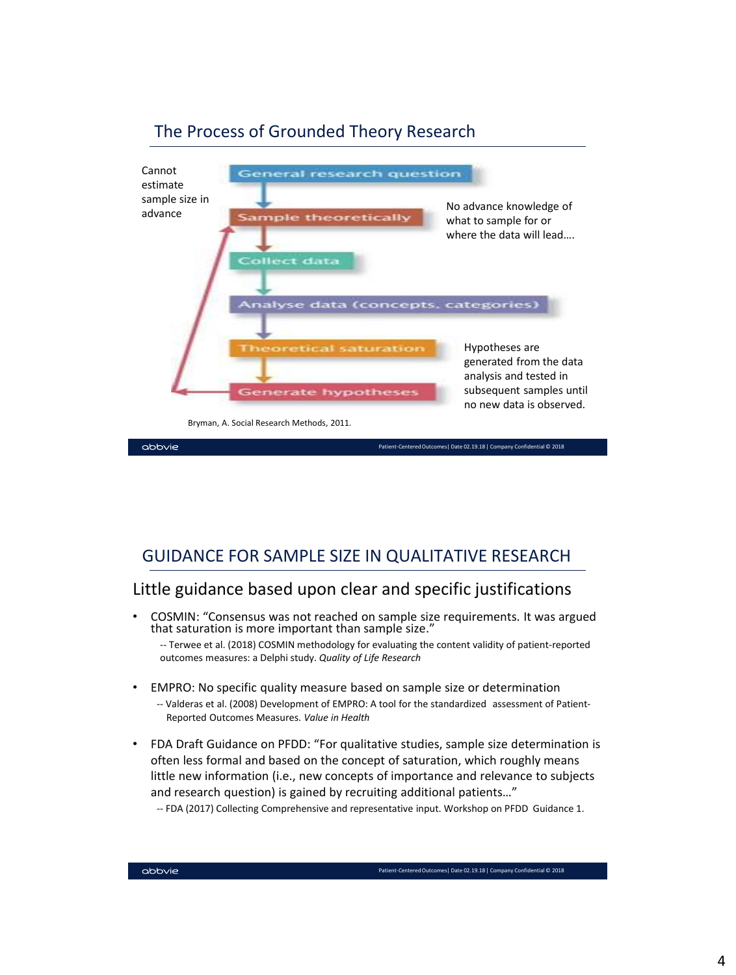

## The Process of Grounded Theory Research

## GUIDANCE FOR SAMPLE SIZE IN QUALITATIVE RESEARCH

## Little guidance based upon clear and specific justifications

• COSMIN: "Consensus was not reached on sample size requirements. It was argued that saturation is more important than sample size."

-- Terwee et al. (2018) COSMIN methodology for evaluating the content validity of patient-reported outcomes measures: a Delphi study. *Quality of Life Research*

- EMPRO: No specific quality measure based on sample size or determination
	- -- Valderas et al. (2008) Development of EMPRO: A tool for the standardized assessment of Patient-Reported Outcomes Measures. *Value in Health*
- FDA Draft Guidance on PFDD: "For qualitative studies, sample size determination is often less formal and based on the concept of saturation, which roughly means little new information (i.e., new concepts of importance and relevance to subjects and research question) is gained by recruiting additional patients…"
	- -- FDA (2017) Collecting Comprehensive and representative input. Workshop on PFDD Guidance 1.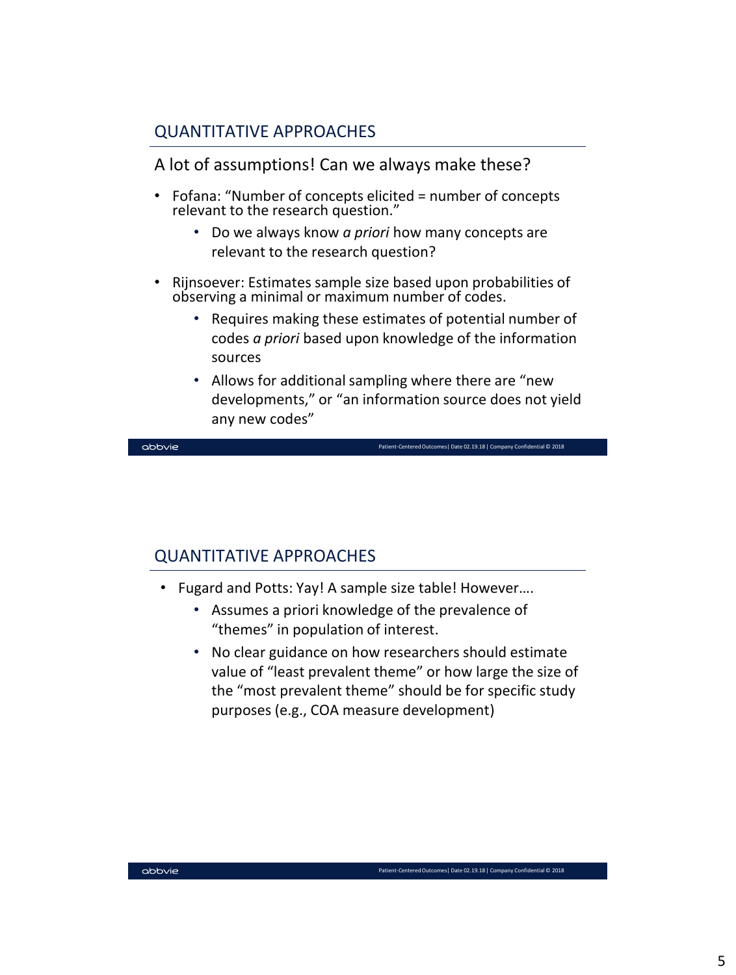## QUANTITATIVE APPROACHES

A lot of assumptions! Can we always make these?

- Fofana: "Number of concepts elicited = number of concepts relevant to the research question."
	- Do we always know *a priori* how many concepts are relevant to the research question?
- Rijnsoever: Estimates sample size based upon probabilities of observing a minimal or maximum number of codes.
	- Requires making these estimates of potential number of codes *a priori* based upon knowledge of the information sources
	- Allows for additional sampling where there are "new developments," or "an information source does not yield any new codes"

abbvie

Patient-Centered Outcomes| Date 02.19.18 | Company Confidential © 2018

## QUANTITATIVE APPROACHES

- Fugard and Potts: Yay! A sample size table! However….
	- Assumes a priori knowledge of the prevalence of "themes" in population of interest.
	- No clear guidance on how researchers should estimate value of "least prevalent theme" or how large the size of the "most prevalent theme" should be for specific study purposes (e.g., COA measure development)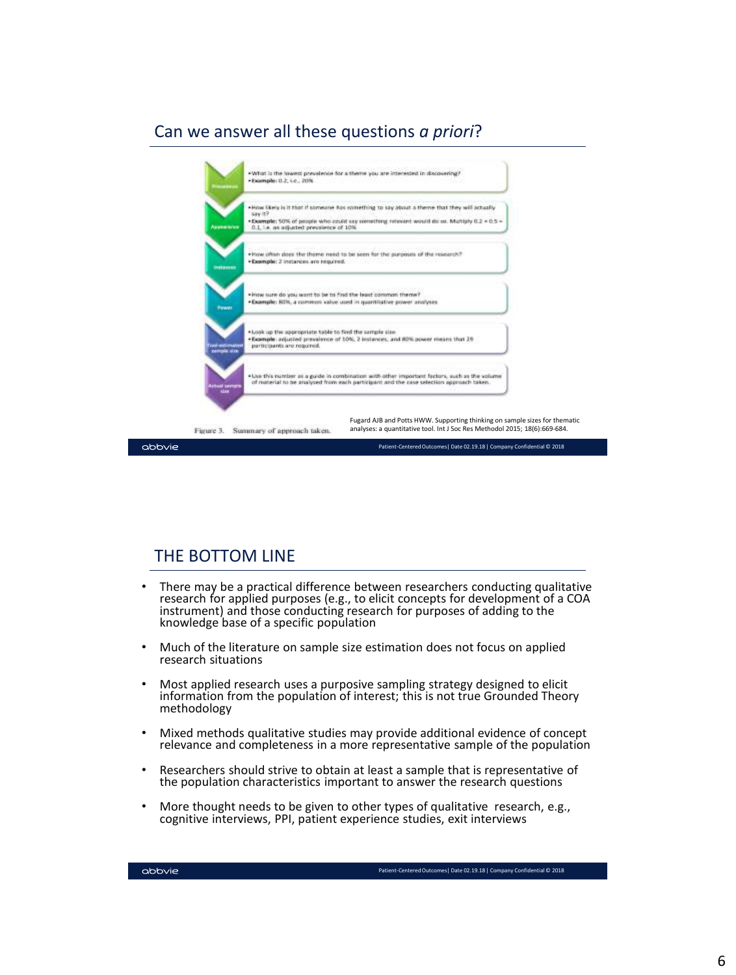## Can we answer all these questions *a priori*?



#### THE BOTTOM LINE

- There may be a practical difference between researchers conducting qualitative research for applied purposes (e.g., to elicit concepts for development of a COA instrument) and those conducting research for purposes of adding to the knowledge base of a specific population
- Much of the literature on sample size estimation does not focus on applied research situations
- Most applied research uses a purposive sampling strategy designed to elicit information from the population of interest; this is not true Grounded Theory methodology
- Mixed methods qualitative studies may provide additional evidence of concept relevance and completeness in a more representative sample of the population
- Researchers should strive to obtain at least a sample that is representative of the population characteristics important to answer the research questions
- More thought needs to be given to other types of qualitative research, e.g., cognitive interviews, PPI, patient experience studies, exit interviews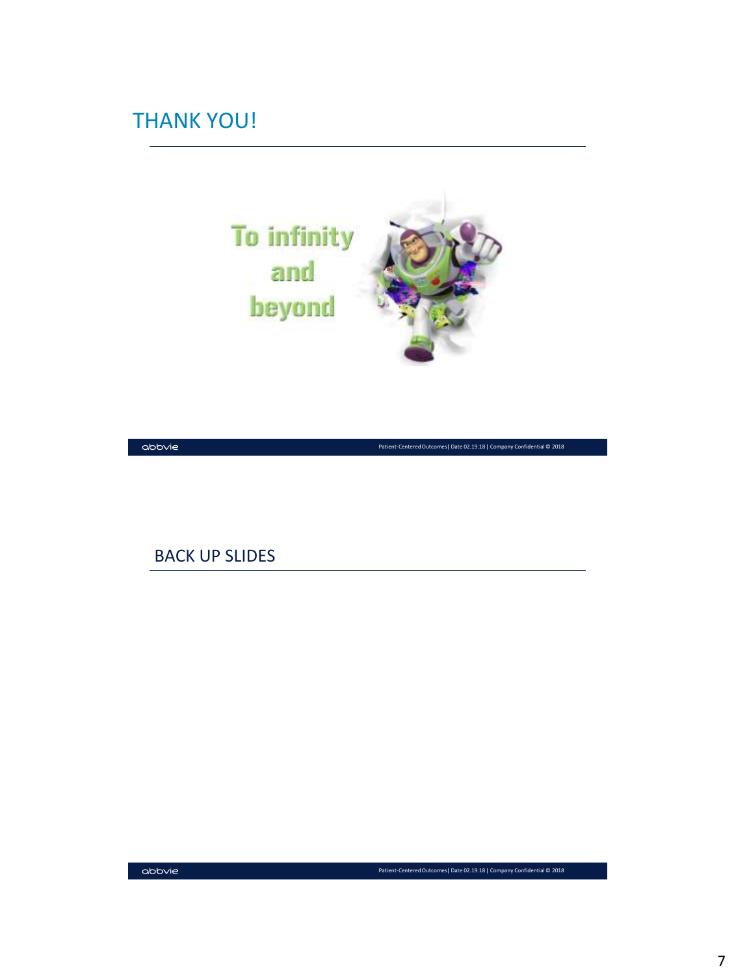## THANK YOU!



 $\Delta$ bb $\vee$ ie

Patient-Centered Outcomes| Date 02.19.18 | Company Confidential © 2018

#### BACK UP SLIDES